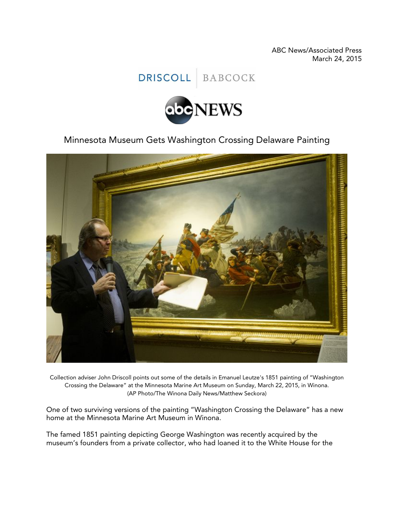ABC News/Associated Press March 24, 2015

DRISCOLL BABCOCK



Minnesota Museum Gets Washington Crossing Delaware Painting



Collection adviser John Driscoll points out some of the details in Emanuel Leutze's 1851 painting of "Washington Crossing the Delaware" at the Minnesota Marine Art Museum on Sunday, March 22, 2015, in Winona. (AP Photo/The Winona Daily News/Matthew Seckora)

One of two surviving versions of the painting "Washington Crossing the Delaware" has a new home at the Minnesota Marine Art Museum in Winona.

The famed 1851 painting depicting George Washington was recently acquired by the museum's founders from a private collector, who had loaned it to the White House for the